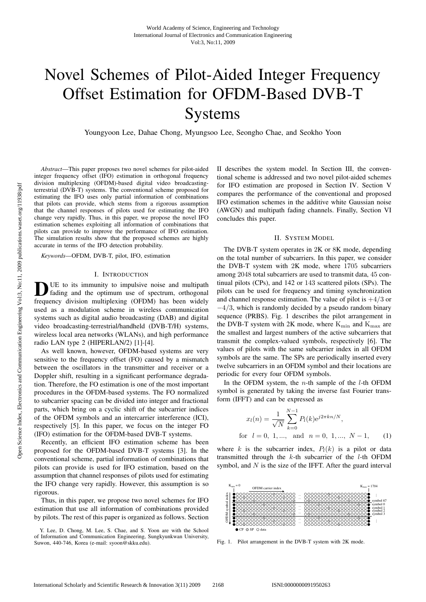# Novel Schemes of Pilot-Aided Integer Frequency Offset Estimation for OFDM-Based DVB-T Systems

Youngyoon Lee, Dahae Chong, Myungsoo Lee, Seongho Chae, and Seokho Yoon

*Abstract*—This paper proposes two novel schemes for pilot-aided integer frequency offset (IFO) estimation in orthogonal frequency division multiplexing (OFDM)-based digital video broadcastingterrestrial (DVB-T) systems. The conventional scheme proposed for estimating the IFO uses only partial information of combinations that pilots can provide, which stems from a rigorous assumption that the channel responses of pilots used for estimating the IFO change very rapidly. Thus, in this paper, we propose the novel IFO estimation schemes exploiting all information of combinations that pilots can provide to improve the performance of IFO estimation. The simulation results show that the proposed schemes are highly accurate in terms of the IFO detection probability.

*Keywords*—OFDM, DVB-T, pilot, IFO, estimation

#### I. INTRODUCTION

DUE to its immunity to impulsive noise and multipath<br>
ading and the optimum use of spectrum, orthogonal frequency division multiplexing (OFDM) has been widely used as a modulation scheme in wireless communication systems such as digital audio broadcasting (DAB) and digital video broadcasting-terrestrial/handheld (DVB-T/H) systems, wireless local area networks (WLANs), and high performance radio LAN type 2 (HIPERLAN/2) [1]-[4].

As well known, however, OFDM-based systems are very sensitive to the frequency offset (FO) caused by a mismatch between the oscillators in the transmitter and receiver or a Doppler shift, resulting in a significant performance degradation. Therefore, the FO estimation is one of the most important procedures in the OFDM-based systems. The FO normalized to subcarrier spacing can be divided into integer and fractional parts, which bring on a cyclic shift of the subcarrier indices of the OFDM symbols and an intercarrier interference (ICI), respectively [5]. In this paper, we focus on the integer FO (IFO) estimation for the OFDM-based DVB-T systems.

Recently, an efficient IFO estimation scheme has been proposed for the OFDM-based DVB-T systems [3]. In the conventional scheme, partial information of combinations that pilots can provide is used for IFO estimation, based on the assumption that channel responses of pilots used for estimating the IFO change very rapidly. However, this assumption is so rigorous.

Thus, in this paper, we propose two novel schemes for IFO estimation that use all information of combinations provided by pilots. The rest of this paper is organized as follows. Section

Y. Lee, D. Chong, M. Lee, S. Chae, and S. Yoon are with the School of Information and Communication Engineering, Sungkyunkwan University, Suwon, 440-746, Korea (e-mail: syoon@skku.edu).

II describes the system model. In Section III, the conventional scheme is addressed and two novel pilot-aided schemes for IFO estimation are proposed in Section IV. Section V compares the performance of the conventional and proposed IFO estimation schemes in the additive white Gaussian noise (AWGN) and multipath fading channels. Finally, Section VI concludes this paper.

## II. SYSTEM MODEL

The DVB-T system operates in 2K or 8K mode, depending on the total number of subcarriers. In this paper, we consider the DVB-T system with 2K mode, where 1705 subcarriers among 2048 total subcarriers are used to transmit data, 45 continual pilots (CPs), and 142 or 143 scattered pilots (SPs). The pilots can be used for frequency and timing synchronization and channel response estimation. The value of pilot is  $+4/3$  or  $-4/3$ , which is randomly decided by a pseudo random binary sequence (PRBS). Fig. 1 describes the pilot arrangement in the DVB-T system with 2K mode, where  $K_{\text{min}}$  and  $K_{\text{max}}$  are the smallest and largest numbers of the active subcarriers that transmit the complex-valued symbols, respectively [6]. The values of pilots with the same subcarrier index in all OFDM symbols are the same. The SPs are periodically inserted every twelve subcarriers in an OFDM symbol and their locations are periodic for every four OFDM symbols.

In the OFDM system, the  $n$ -th sample of the  $l$ -th OFDM symbol is generated by taking the inverse fast Fourier transform (IFFT) and can be expressed as

$$
x_l(n) = \frac{1}{\sqrt{N}} \sum_{k=0}^{N-1} P_l(k) e^{j2\pi kn/N},
$$
  
for  $l = 0, 1, ...,$  and  $n = 0, 1, ..., N-1,$  (1)

where k is the subcarrier index,  $P_l(k)$  is a pilot or data transmitted through the k-th subcarrier of the l-th OFDM symbol, and  $N$  is the size of the IFFT. After the guard interval



Fig. 1. Pilot arrangement in the DVB-T system with 2K mode.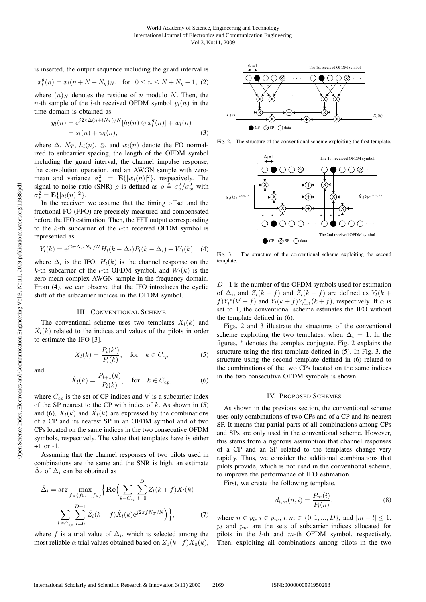is inserted, the output sequence including the guard interval is

$$
x_l^g(n) = x_l(n+N-N_g)_N
$$
, for  $0 \le n \le N+N_g-1$ , (2)

where  $(n)_N$  denotes the residue of n modulo N. Then, the *n*-th sample of the *l*-th received OFDM symbol  $y_l(n)$  in the time domain is obtained as

$$
y_l(n) = e^{j2\pi \Delta (n + lN_T)/N} [h_l(n) \otimes x_l^g(n)] + w_l(n)
$$
  
=  $s_l(n) + w_l(n)$ , (3)

where  $\Delta$ ,  $N_T$ ,  $h_l(n)$ ,  $\otimes$ , and  $w_l(n)$  denote the FO normalized to subcarrier spacing, the length of the OFDM symbol including the guard interval, the channel impulse response, the convolution operation, and an AWGN sample with zeromean and variance  $\sigma_w^2 = \mathbf{E}\{|w_l(n)|^2\}$ , respectively. The signal to poise ratio (SNR) a is defined as  $a \triangleq \sigma^2/\sigma^2$  with signal to noise ratio (SNR)  $\rho$  is defined as  $\rho \triangleq \sigma_s^2 / \sigma_w^2$  with  $\sigma_s^2 = \mathbf{E} f |s_0(n)|^2$  $\sigma_s^2 = \mathbf{E}\{|s_l(n)|^2\}.$ <br>In the receiver

In the receiver, we assume that the timing offset and the fractional FO (FFO) are precisely measured and compensated before the IFO estimation. Then, the FFT output corresponding to the  $k$ -th subcarrier of the  $l$ -th received OFDM symbol is represented as

$$
Y_l(k) = e^{j2\pi \Delta_i l N_T/N} H_l(k - \Delta_i) P_l(k - \Delta_i) + W_l(k), \quad (4)
$$

where  $\Delta_i$  is the IFO,  $H_l(k)$  is the channel response on the k-th subcarrier of the l-th OFDM symbol, and  $W_l(k)$  is the zero-mean complex AWGN sample in the frequency domain. From (4), we can observe that the IFO introduces the cyclic shift of the subcarrier indices in the OFDM symbol.

## III. CONVENTIONAL SCHEME

The conventional scheme uses two templates  $X_l(k)$  and  $\hat{X}_{l}(k)$  related to the indices and values of the pilots in order to estimate the IFO [3].

$$
X_l(k) = \frac{P_l(k')}{P_l(k)}, \quad \text{for} \quad k \in C_{cp} \tag{5}
$$

and

Open Science Index, Electronics and Communication Engineering Vol:3, No:11, 2009 publications.waset.org/11938/pdf

Deen Science Index, Electronics and Communication Engineering Vol:3, No:11, 2009 publications.waset.org/11938/pdf

$$
\hat{X}_l(k) = \frac{P_{l+1}(k)}{P_l(k)}, \quad \text{for} \quad k \in C_{cp},\tag{6}
$$

where  $C_{cp}$  is the set of CP indices and k' is a subcarrier index<br>of the SP nearest to the CP with index of k-As shown in (5) of the SP nearest to the CP with index of  $k$ . As shown in (5) and (6),  $X_l(k)$  and  $\hat{X}_l(k)$  are expressed by the combinations of a CP and its nearest SP in an OFDM symbol and of two CPs located on the same indices in the two consecutive OFDM symbols, respectively. The value that templates have is either +1 or -1.

Assuming that the channel responses of two pilots used in combinations are the same and the SNR is high, an estimate  $\Delta_i$  of  $\Delta_i$  can be obtained as

$$
\hat{\Delta}_{i} = \arg \max_{f \in \{f_{1},...,f_{\alpha}\}} \left\{ \mathbf{Re} \Big( \sum_{k \in C_{cp}} \sum_{l=0}^{D} Z_{l}(k+f) X_{l}(k) + \sum_{k \in C_{cp}} \sum_{l=0}^{D-1} \hat{Z}_{l}(k+f) \hat{X}_{l}(k) e^{j2\pi f N_{T}/N} \Big) \right\},
$$
\n(7)

where f is a trial value of  $\Delta_i$ , which is selected among the most reliable  $\alpha$  trial values obtained based on  $Z_0(k+f)X_0(k)$ ,



Fig. 2. The structure of the conventional scheme exploiting the first template.



Fig. 3. The structure of the conventional scheme exploiting the second template.

 $D+1$  is the number of the OFDM symbols used for estimation of  $\Delta_i$ , and  $Z_l(k + f)$  and  $\hat{Z}_l(k + f)$  are defined as  $Y_l(k + f)$  $f)Y_l^*(k'+f)$  and  $Y_l(k+f)Y_{l+1}^*(k+f)$ , respectively. If  $\alpha$  is<br>set to 1 the conventional scheme estimates the IFO without set to 1, the conventional scheme estimates the IFO without the template defined in (6).

Figs. 2 and 3 illustrate the structures of the conventional scheme exploiting the two templates, when  $\Delta_i = 1$ . In the figures,  $*$  denotes the complex conjugate. Fig. 2 explains the structure using the first template defined in (5). In Fig. 3, the structure using the second template defined in (6) related to the combinations of the two CPs located on the same indices in the two consecutive OFDM symbols is shown.

# IV. PROPOSED SCHEMES

As shown in the previous section, the conventional scheme uses only combinations of two CPs and of a CP and its nearest SP. It means that partial parts of all combinations among CPs and SPs are only used in the conventional scheme. However, this stems from a rigorous assumption that channel responses of a CP and an SP related to the templates change very rapidly. Thus, we consider the additional combinations that pilots provide, which is not used in the conventional scheme, to improve the performance of IFO estimation.

First, we create the following template.

$$
d_{l,m}(n,i) = \frac{P_m(i)}{P_l(n)},
$$
\n(8)

where  $n \in p_l$ ,  $i \in p_m$ ,  $l, m \in \{0, 1, ..., D\}$ , and  $|m - l| \leq 1$ .  $p_l$  and  $p_m$  are the sets of subcarrier indices allocated for pilots in the l-th and m-th OFDM symbol, respectively. Then, exploiting all combinations among pilots in the two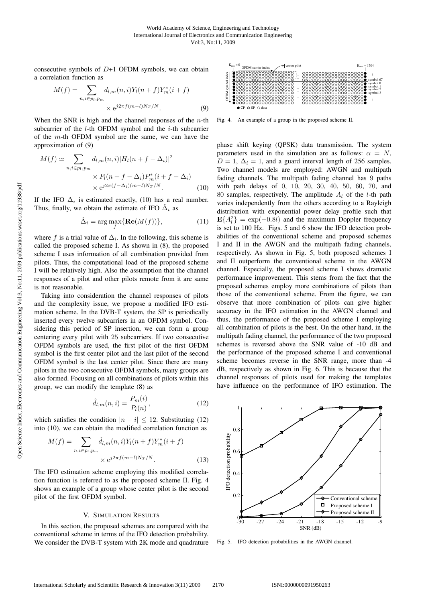consecutive symbols of  $D+1$  OFDM symbols, we can obtain a correlation function as

$$
M(f) = \sum_{n,i \in p_l, p_m} d_{l,m}(n,i) Y_l(n+f) Y_m^*(i+f)
$$
  
 
$$
\times e^{j2\pi f(m-l)N_T/N}.
$$
 (9)

When the SNR is high and the channel responses of the  $n$ -th subcarrier of the  $l$ -th OFDM symbol and the  $i$ -th subcarrier of the  $m$ -th OFDM symbol are the same, we can have the approximation of (9)

$$
M(f) \simeq \sum_{n,i \in p_l, p_m} d_{l,m}(n,i) |H_l(n+f-\Delta_i)|^2
$$
  
\$\times P\_l(n+f-\Delta\_i)P\_m^\*(i+f-\Delta\_i)\$  
\$\times e^{j2\pi(f-\Delta\_i)(m-l)N\_T/N}\$. (10)

If the IFO  $\Delta_i$  is estimated exactly, (10) has a real number. Thus, finally, we obtain the estimate of IFO  $\hat{\Delta}_i$  as

$$
\hat{\Delta}_i = \arg \max_{f} \{ \text{Re}(M(f)) \},\tag{11}
$$

where f is a trial value of  $\Delta_i$ . In the following, this scheme is called the proposed scheme I. As shown in (8), the proposed scheme I uses information of all combination provided from pilots. Thus, the computational load of the proposed scheme I will be relatively high. Also the assumption that the channel responses of a pilot and other pilots remote from it are same is not reasonable.

Taking into consideration the channel responses of pilots and the complexity issue, we propose a modified IFO estimation scheme. In the DVB-T system, the SP is periodically inserted every twelve subcarriers in an OFDM symbol. Considering this period of SP insertion, we can form a group centering every pilot with 25 subcarriers. If two consecutive OFDM symbols are used, the first pilot of the first OFDM symbol is the first center pilot and the last pilot of the second OFDM symbol is the last center pilot. Since there are many pilots in the two consecutive OFDM symbols, many groups are also formed. Focusing on all combinations of pilots within this group, we can modify the template (8) as

$$
\hat{d}_{l,m}(n,i) = \frac{P_m(i)}{P_l(n)},
$$
\n(12)

which satisfies the condition  $|n - i| \leq 12$ . Substituting (12) into (10) we can obtain the modified correlation function as into (10), we can obtain the modified correlation function as

$$
M(f) = \sum_{n,i \in p_l, p_m} \hat{d}_{l,m}(n,i) Y_l(n+f) Y_m^*(i+f) \times e^{j2\pi f(m-l)N_T/N}.
$$
 (13)

The IFO estimation scheme employing this modified correlation function is referred to as the proposed scheme II. Fig. 4 shows an example of a group whose center pilot is the second pilot of the first OFDM symbol.

#### V. SIMULATION RESULTS

In this section, the proposed schemes are compared with the conventional scheme in terms of the IFO detection probability. We consider the DVB-T system with 2K mode and quadrature



Fig. 4. An example of a group in the proposed scheme II.

phase shift keying (QPSK) data transmission. The system parameters used in the simulation are as follows:  $\alpha = N$ ,  $D = 1$ ,  $\Delta_i = 1$ , and a guard interval length of 256 samples. Two channel models are employed: AWGN and multipath fading channels. The multipath fading channel has 9 paths with path delays of 0, 10, 20, 30, 40, 50, 60, 70, and 80 samples, respectively. The amplitude  $A_l$  of the *l*-th path varies independently from the others according to a Rayleigh distribution with exponential power delay profile such that  $\mathbf{E}\{A_l^2\} = \exp(-0.8l)$  and the maximum Doppler frequency<br>is set to 100 Hz. Figs. 5 and 6 show the IEO detection probis set to 100 Hz. Figs. 5 and 6 show the IFO detection probabilities of the conventional scheme and proposed schemes I and II in the AWGN and the multipath fading channels, respectively. As shown in Fig. 5, both proposed schemes I and II outperform the conventional scheme in the AWGN channel. Especially, the proposed scheme I shows dramatic performance improvement. This stems from the fact that the proposed schemes employ more combinations of pilots than those of the conventional scheme. From the figure, we can observe that more combination of pilots can give higher accuracy in the IFO estimation in the AWGN channel and thus, the performance of the proposed scheme I employing all combination of pilots is the best. On the other hand, in the multipath fading channel, the performance of the two proposed schemes is reversed above the SNR value of -10 dB and the performance of the proposed scheme I and conventional scheme becomes reverse in the SNR range, more than -4 dB, respectively as shown in Fig. 6. This is because that the channel responses of pilots used for making the templates have influence on the performance of IFO estimation. The



Fig. 5. IFO detection probabilities in the AWGN channel.